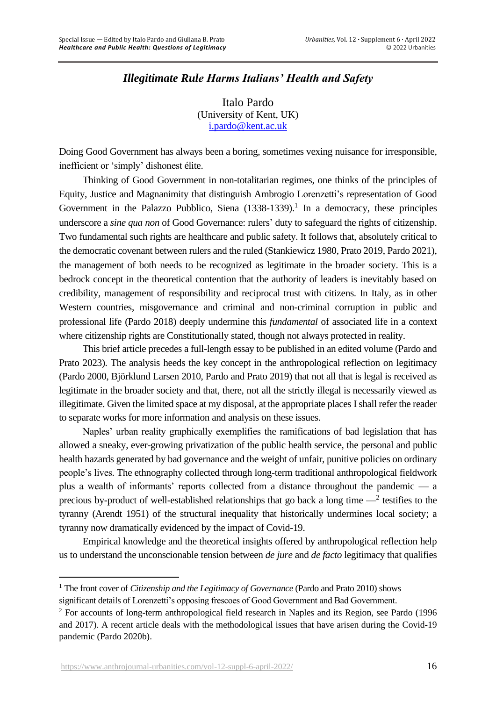# *Illegitimate Rule Harms Italians' Health and Safety*

Italo Pardo (University of Kent, UK) [i.pardo@kent.ac.uk](mailto:i.pardo@kent.ac.uk)

Doing Good Government has always been a boring, sometimes vexing nuisance for irresponsible, inefficient or 'simply' dishonest élite.

Thinking of Good Government in non-totalitarian regimes, one thinks of the principles of Equity, Justice and Magnanimity that distinguish Ambrogio Lorenzetti's representation of Good Government in the Palazzo Pubblico, Siena  $(1338-1339)$ .<sup>1</sup> In a democracy, these principles underscore a *sine qua non* of Good Governance: rulers' duty to safeguard the rights of citizenship. Two fundamental such rights are healthcare and public safety. It follows that, absolutely critical to the democratic covenant between rulers and the ruled (Stankiewicz 1980, Prato 2019, Pardo 2021), the management of both needs to be recognized as legitimate in the broader society. This is a bedrock concept in the theoretical contention that the authority of leaders is inevitably based on credibility, management of responsibility and reciprocal trust with citizens. In Italy, as in other Western countries, misgovernance and criminal and non-criminal corruption in public and professional life (Pardo 2018) deeply undermine this *fundamental* of associated life in a context where citizenship rights are Constitutionally stated, though not always protected in reality.

This brief article precedes a full-length essay to be published in an edited volume (Pardo and Prato 2023). The analysis heeds the key concept in the anthropological reflection on legitimacy (Pardo 2000, Björklund Larsen 2010, Pardo and Prato 2019) that not all that is legal is received as legitimate in the broader society and that, there, not all the strictly illegal is necessarily viewed as illegitimate. Given the limited space at my disposal, at the appropriate places I shall refer the reader to separate works for more information and analysis on these issues.

Naples' urban reality graphically exemplifies the ramifications of bad legislation that has allowed a sneaky, ever-growing privatization of the public health service, the personal and public health hazards generated by bad governance and the weight of unfair, punitive policies on ordinary people's lives. The ethnography collected through long-term traditional anthropological fieldwork plus a wealth of informants' reports collected from a distance throughout the pandemic — a precious by-product of well-established relationships that go back a long time  $-$ <sup>2</sup> testifies to the tyranny (Arendt 1951) of the structural inequality that historically undermines local society; a tyranny now dramatically evidenced by the impact of Covid-19.

Empirical knowledge and the theoretical insights offered by anthropological reflection help us to understand the unconscionable tension between *de jure* and *de facto* legitimacy that qualifies

<sup>1</sup> The front cover of *Citizenship and the Legitimacy of Governance* (Pardo and Prato 2010) shows

significant details of Lorenzetti's opposing frescoes of Good Government and Bad Government.

<sup>&</sup>lt;sup>2</sup> For accounts of long-term anthropological field research in Naples and its Region, see Pardo (1996) and 2017). A recent article deals with the methodological issues that have arisen during the Covid-19 pandemic (Pardo 2020b).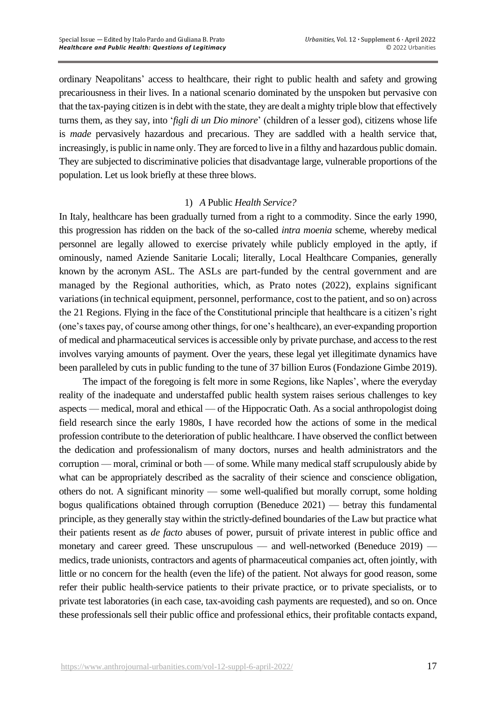ordinary Neapolitans' access to healthcare, their right to public health and safety and growing precariousness in their lives. In a national scenario dominated by the unspoken but pervasive con that the tax-paying citizen is in debt with the state, they are dealt a mighty triple blow that effectively turns them, as they say, into '*figli di un Dio minore*' (children of a lesser god), citizens whose life is *made* pervasively hazardous and precarious. They are saddled with a health service that, increasingly, is public in name only. They are forced to live in a filthy and hazardous public domain. They are subjected to discriminative policies that disadvantage large, vulnerable proportions of the population. Let us look briefly at these three blows.

#### 1) *A* Public *Health Service?*

In Italy, healthcare has been gradually turned from a right to a commodity. Since the early 1990, this progression has ridden on the back of the so-called *intra moenia* scheme, whereby medical personnel are legally allowed to exercise privately while publicly employed in the aptly, if ominously, named Aziende Sanitarie Locali; literally, Local Healthcare Companies, generally known by the acronym ASL. The ASLs are part-funded by the central government and are managed by the Regional authorities, which, as Prato notes (2022), explains significant variations (in technical equipment, personnel, performance, cost to the patient, and so on) across the 21 Regions. Flying in the face of the Constitutional principle that healthcare is a citizen's right (one's taxes pay, of course among other things, for one's healthcare), an ever-expanding proportion of medical and pharmaceutical services is accessible only by private purchase, and access to the rest involves varying amounts of payment. Over the years, these legal yet illegitimate dynamics have been paralleled by cuts in public funding to the tune of 37 billion Euros (Fondazione Gimbe 2019).

The impact of the foregoing is felt more in some Regions, like Naples', where the everyday reality of the inadequate and understaffed public health system raises serious challenges to key aspects — medical, moral and ethical — of the Hippocratic Oath. As a social anthropologist doing field research since the early 1980s, I have recorded how the actions of some in the medical profession contribute to the deterioration of public healthcare. I have observed the conflict between the dedication and professionalism of many doctors, nurses and health administrators and the corruption — moral, criminal or both — of some. While many medical staff scrupulously abide by what can be appropriately described as the sacrality of their science and conscience obligation, others do not. A significant minority — some well-qualified but morally corrupt, some holding bogus qualifications obtained through corruption (Beneduce 2021) — betray this fundamental principle, as they generally stay within the strictly-defined boundaries of the Law but practice what their patients resent as *de facto* abuses of power, pursuit of private interest in public office and monetary and career greed. These unscrupulous — and well-networked (Beneduce 2019) medics, trade unionists, contractors and agents of pharmaceutical companies act, often jointly, with little or no concern for the health (even the life) of the patient. Not always for good reason, some refer their public health-service patients to their private practice, or to private specialists, or to private test laboratories (in each case, tax-avoiding cash payments are requested), and so on. Once these professionals sell their public office and professional ethics, their profitable contacts expand,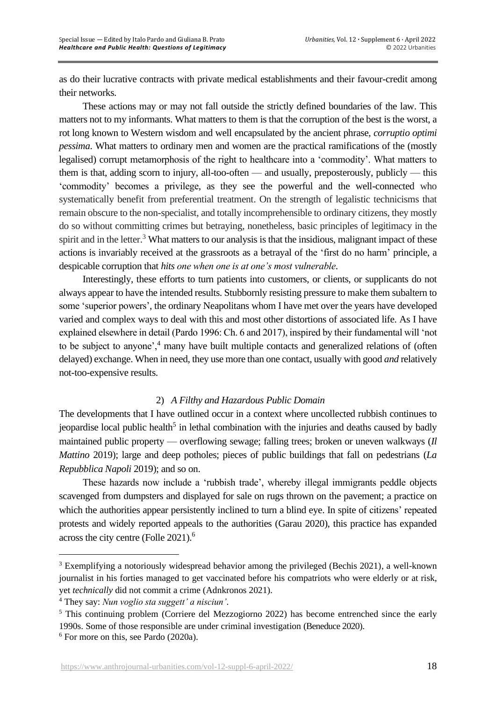as do their lucrative contracts with private medical establishments and their favour-credit among their networks.

These actions may or may not fall outside the strictly defined boundaries of the law. This matters not to my informants. What matters to them is that the corruption of the best is the worst, a rot long known to Western wisdom and well encapsulated by the ancient phrase, *corruptio optimi pessima*. What matters to ordinary men and women are the practical ramifications of the (mostly legalised) corrupt metamorphosis of the right to healthcare into a 'commodity'. What matters to them is that, adding scorn to injury, all-too-often — and usually, preposterously, publicly — this 'commodity' becomes a privilege, as they see the powerful and the well-connected who systematically benefit from preferential treatment. On the strength of legalistic technicisms that remain obscure to the non-specialist, and totally incomprehensible to ordinary citizens, they mostly do so without committing crimes but betraying, nonetheless, basic principles of legitimacy in the spirit and in the letter.<sup>3</sup> What matters to our analysis is that the insidious, malignant impact of these actions is invariably received at the grassroots as a betrayal of the 'first do no harm' principle, a despicable corruption that *hits one when one is at one's most vulnerable*.

Interestingly, these efforts to turn patients into customers, or clients, or supplicants do not always appear to have the intended results. Stubbornly resisting pressure to make them subaltern to some 'superior powers', the ordinary Neapolitans whom I have met over the years have developed varied and complex ways to deal with this and most other distortions of associated life. As I have explained elsewhere in detail (Pardo 1996: Ch. 6 and 2017), inspired by their fundamental will 'not to be subject to anyone',<sup>4</sup> many have built multiple contacts and generalized relations of (often delayed) exchange. When in need, they use more than one contact, usually with good *and* relatively not-too-expensive results.

## 2) *A Filthy and Hazardous Public Domain*

The developments that I have outlined occur in a context where uncollected rubbish continues to jeopardise local public health<sup>5</sup> in lethal combination with the injuries and deaths caused by badly maintained public property — overflowing sewage; falling trees; broken or uneven walkways (*Il Mattino* 2019); large and deep potholes; pieces of public buildings that fall on pedestrians (*La Repubblica Napoli* 2019); and so on.

These hazards now include a 'rubbish trade', whereby illegal immigrants peddle objects scavenged from dumpsters and displayed for sale on rugs thrown on the pavement; a practice on which the authorities appear persistently inclined to turn a blind eye. In spite of citizens' repeated protests and widely reported appeals to the authorities (Garau 2020), this practice has expanded across the city centre (Folle 2021). 6

<sup>&</sup>lt;sup>3</sup> Exemplifying a notoriously widespread behavior among the privileged (Bechis 2021), a well-known journalist in his forties managed to get vaccinated before his compatriots who were elderly or at risk, yet *technically* did not commit a crime (Adnkronos 2021).

<sup>4</sup> They say: *Nun voglio sta suggett' a nisciun'*.

<sup>&</sup>lt;sup>5</sup> This continuing problem (Corriere del Mezzogiorno 2022) has become entrenched since the early 1990s. Some of those responsible are under criminal investigation (Beneduce 2020).

 $6$  For more on this, see Pardo (2020a).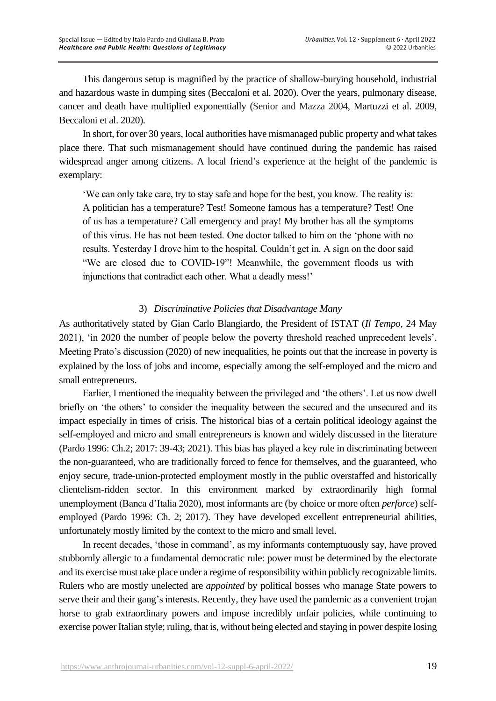This dangerous setup is magnified by the practice of shallow-burying household, industrial and hazardous waste in dumping sites (Beccaloni et al. 2020). Over the years, pulmonary disease, cancer and death have multiplied exponentially (Senior and Mazza 2004, Martuzzi et al. 2009, Beccaloni et al. 2020).

In short, for over 30 years, local authorities have mismanaged public property and what takes place there. That such mismanagement should have continued during the pandemic has raised widespread anger among citizens. A local friend's experience at the height of the pandemic is exemplary:

'We can only take care, try to stay safe and hope for the best, you know. The reality is: A politician has a temperature? Test! Someone famous has a temperature? Test! One of us has a temperature? Call emergency and pray! My brother has all the symptoms of this virus. He has not been tested. One doctor talked to him on the 'phone with no results. Yesterday I drove him to the hospital. Couldn't get in. A sign on the door said "We are closed due to COVID-19"! Meanwhile, the government floods us with injunctions that contradict each other. What a deadly mess!'

## 3) *Discriminative Policies that Disadvantage Many*

As authoritatively stated by Gian Carlo Blangiardo, the President of ISTAT (*Il Tempo*, 24 May 2021), 'in 2020 the number of people below the poverty threshold reached unprecedent levels'. Meeting Prato's discussion (2020) of new inequalities, he points out that the increase in poverty is explained by the loss of jobs and income, especially among the self-employed and the micro and small entrepreneurs.

Earlier, I mentioned the inequality between the privileged and 'the others'. Let us now dwell briefly on 'the others' to consider the inequality between the secured and the unsecured and its impact especially in times of crisis. The historical bias of a certain political ideology against the self-employed and micro and small entrepreneurs is known and widely discussed in the literature (Pardo 1996: Ch.2; 2017: 39-43; 2021). This bias has played a key role in discriminating between the non-guaranteed, who are traditionally forced to fence for themselves, and the guaranteed, who enjoy secure, trade-union-protected employment mostly in the public overstaffed and historically clientelism-ridden sector. In this environment marked by extraordinarily high formal unemployment (Banca d'Italia 2020), most informants are (by choice or more often *perforce*) selfemployed (Pardo 1996: Ch. 2; 2017). They have developed excellent entrepreneurial abilities, unfortunately mostly limited by the context to the micro and small level.

In recent decades, 'those in command', as my informants contemptuously say, have proved stubbornly allergic to a fundamental democratic rule: power must be determined by the electorate and its exercise must take place under a regime of responsibility within publicly recognizable limits. Rulers who are mostly unelected are *appointed* by political bosses who manage State powers to serve their and their gang's interests. Recently, they have used the pandemic as a convenient trojan horse to grab extraordinary powers and impose incredibly unfair policies, while continuing to exercise power Italian style; ruling, that is, without being elected and staying in power despite losing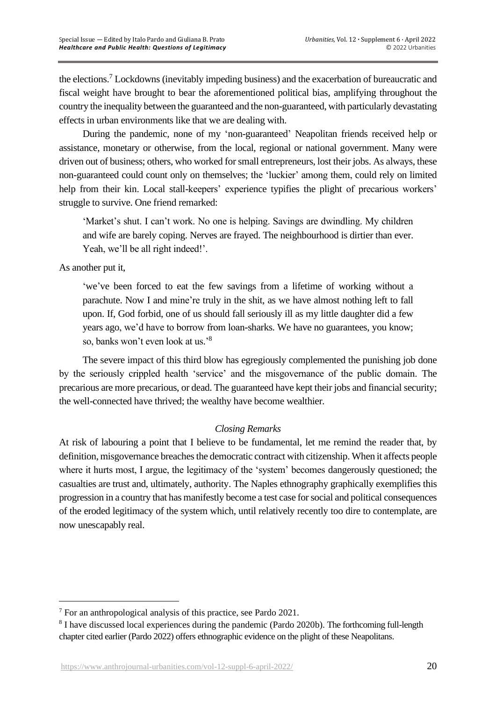the elections.<sup>7</sup> Lockdowns (inevitably impeding business) and the exacerbation of bureaucratic and fiscal weight have brought to bear the aforementioned political bias, amplifying throughout the country the inequality between the guaranteed and the non-guaranteed, with particularly devastating effects in urban environments like that we are dealing with.

During the pandemic, none of my 'non-guaranteed' Neapolitan friends received help or assistance, monetary or otherwise, from the local, regional or national government. Many were driven out of business; others, who worked for small entrepreneurs, lost their jobs. As always, these non-guaranteed could count only on themselves; the 'luckier' among them, could rely on limited help from their kin. Local stall-keepers' experience typifies the plight of precarious workers' struggle to survive. One friend remarked:

'Market's shut. I can't work. No one is helping. Savings are dwindling. My children and wife are barely coping. Nerves are frayed. The neighbourhood is dirtier than ever. Yeah, we'll be all right indeed!'.

As another put it,

'we've been forced to eat the few savings from a lifetime of working without a parachute. Now I and mine're truly in the shit, as we have almost nothing left to fall upon. If, God forbid, one of us should fall seriously ill as my little daughter did a few years ago, we'd have to borrow from loan-sharks. We have no guarantees, you know; so, banks won't even look at us.' 8

The severe impact of this third blow has egregiously complemented the punishing job done by the seriously crippled health 'service' and the misgovernance of the public domain. The precarious are more precarious, or dead. The guaranteed have kept their jobs and financial security; the well-connected have thrived; the wealthy have become wealthier.

## *Closing Remarks*

At risk of labouring a point that I believe to be fundamental, let me remind the reader that, by definition, misgovernance breaches the democratic contract with citizenship. When it affects people where it hurts most, I argue, the legitimacy of the 'system' becomes dangerously questioned; the casualties are trust and, ultimately, authority. The Naples ethnography graphically exemplifies this progression in a country that has manifestly become a test case for social and political consequences of the eroded legitimacy of the system which, until relatively recently too dire to contemplate, are now unescapably real.

<sup>7</sup> For an anthropological analysis of this practice, see Pardo 2021.

<sup>&</sup>lt;sup>8</sup> I have discussed local experiences during the pandemic (Pardo 2020b). The forthcoming full-length chapter cited earlier (Pardo 2022) offers ethnographic evidence on the plight of these Neapolitans.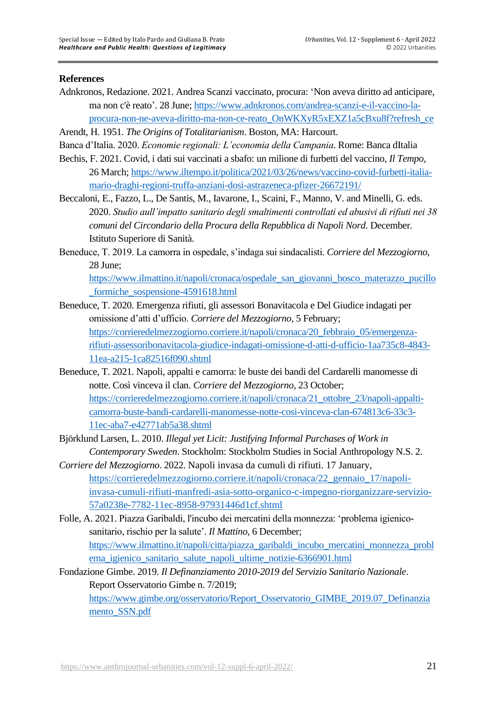#### **References**

- Adnkronos, Redazione. 2021. Andrea Scanzi vaccinato, procura: 'Non aveva diritto ad anticipare, ma non c'è reato'. 28 June; [https://www.adnkronos.com/andrea-scanzi-e-il-vaccino-la](https://www.adnkronos.com/andrea-scanzi-e-il-vaccino-la-procura-non-ne-aveva-diritto-ma-non-ce-reato_OnWKXyR5xEXZ1a5cBxu8f?refresh_ce)[procura-non-ne-aveva-diritto-ma-non-ce-reato\\_OnWKXyR5xEXZ1a5cBxu8f?refresh\\_ce](https://www.adnkronos.com/andrea-scanzi-e-il-vaccino-la-procura-non-ne-aveva-diritto-ma-non-ce-reato_OnWKXyR5xEXZ1a5cBxu8f?refresh_ce)
- Arendt, H. 1951. *The Origins of Totalitarianism*. Boston, MA: Harcourt.
- Banca d'Italia. 2020. *Economie regionali: L'economia della Campania*. Rome: Banca dItalia
- Bechis, F. 2021. Covid, i dati sui vaccinati a sbafo: un milione di furbetti del vaccino, *Il Tempo*, 26 March; [https://www.iltempo.it/politica/2021/03/26/news/vaccino-covid-furbetti-italia](https://www.iltempo.it/politica/2021/03/26/news/vaccino-covid-furbetti-italia-mario-draghi-regioni-truffa-anziani-dosi-astrazeneca-pfizer-26672191/)[mario-draghi-regioni-truffa-anziani-dosi-astrazeneca-pfizer-26672191/](https://www.iltempo.it/politica/2021/03/26/news/vaccino-covid-furbetti-italia-mario-draghi-regioni-truffa-anziani-dosi-astrazeneca-pfizer-26672191/)
- Beccaloni, E., Fazzo, L., De Santis, M., Iavarone, I., Scaini, F., Manno, V. and Minelli, G. eds. 2020. *Studio aull'impatto sanitario degli smaltimenti controllati ed abusivi di rifiuti nei 38 comuni del Circondario della Procura della Repubblica di Napoli Nord*. December. Istituto Superiore di Sanità.
- Beneduce, T. 2019. La camorra in ospedale, s'indaga sui sindacalisti. *Corriere del Mezzogiorno*, 28 June;

[https://www.ilmattino.it/napoli/cronaca/ospedale\\_san\\_giovanni\\_bosco\\_materazzo\\_pucillo](https://www.ilmattino.it/napoli/cronaca/ospedale_san_giovanni_bosco_materazzo_pucillo_formiche_sospensione-4591618.html)\_ [\\_formiche\\_sospensione-4591618.html](https://www.ilmattino.it/napoli/cronaca/ospedale_san_giovanni_bosco_materazzo_pucillo_formiche_sospensione-4591618.html)

- Beneduce, T. 2020. Emergenza rifiuti, gli assessori Bonavitacola e Del Giudice indagati per omissione d'atti d'ufficio. *Corriere del Mezzogiorno*, 5 February; [https://corrieredelmezzogiorno.corriere.it/napoli/cronaca/20\\_febbraio\\_05/emergenza](https://corrieredelmezzogiorno.corriere.it/napoli/cronaca/20_febbraio_05/emergenza-rifiuti-assessoribonavitacola-giudice-indagati-omissione-d-atti-d-ufficio-1aa735c8-4843-11ea-a215-1ca82516f090.shtml)[rifiuti-assessoribonavitacola-giudice-indagati-omissione-d-atti-d-ufficio-1aa735c8-4843-](https://corrieredelmezzogiorno.corriere.it/napoli/cronaca/20_febbraio_05/emergenza-rifiuti-assessoribonavitacola-giudice-indagati-omissione-d-atti-d-ufficio-1aa735c8-4843-11ea-a215-1ca82516f090.shtml) [11ea-a215-1ca82516f090.shtml](https://corrieredelmezzogiorno.corriere.it/napoli/cronaca/20_febbraio_05/emergenza-rifiuti-assessoribonavitacola-giudice-indagati-omissione-d-atti-d-ufficio-1aa735c8-4843-11ea-a215-1ca82516f090.shtml)
- Beneduce, T. 2021. Napoli, appalti e camorra: le buste dei bandi del Cardarelli manomesse di notte. Così vinceva il clan. *Corriere del Mezzogiorno*, 23 October; [https://corrieredelmezzogiorno.corriere.it/napoli/cronaca/21\\_ottobre\\_23/napoli-appalti](https://corrieredelmezzogiorno.corriere.it/napoli/cronaca/21_ottobre_23/napoli-appalti-camorra-buste-bandi-cardarelli-manomesse-notte-cosi-vinceva-clan-674813c6-33c3-11ec-aba7-e42771ab5a38.shtml)[camorra-buste-bandi-cardarelli-manomesse-notte-cosi-vinceva-clan-674813c6-33c3-](https://corrieredelmezzogiorno.corriere.it/napoli/cronaca/21_ottobre_23/napoli-appalti-camorra-buste-bandi-cardarelli-manomesse-notte-cosi-vinceva-clan-674813c6-33c3-11ec-aba7-e42771ab5a38.shtml) [11ec-aba7-e42771ab5a38.shtml](https://corrieredelmezzogiorno.corriere.it/napoli/cronaca/21_ottobre_23/napoli-appalti-camorra-buste-bandi-cardarelli-manomesse-notte-cosi-vinceva-clan-674813c6-33c3-11ec-aba7-e42771ab5a38.shtml)
- Björklund Larsen, L. 2010. *Illegal yet Licit: Justifying Informal Purchases of Work in Contemporary Sweden*. Stockholm: Stockholm Studies in Social Anthropology N.S. 2.
- *Corriere del Mezzogiorno*. 2022. Napoli invasa da cumuli di rifiuti. 17 January, https://corrieredelmezzogiorno.corriere.it/napoli/cronaca/22 gennaio 17/napoli[invasa-cumuli-rifiuti-manfredi-asia-sotto-organico-c-impegno-riorganizzare-servizio-](https://corrieredelmezzogiorno.corriere.it/napoli/cronaca/22_gennaio_17/napoli-invasa-cumuli-rifiuti-manfredi-asia-sotto-organico-c-impegno-riorganizzare-servizio-57a0238e-7782-11ec-8958-97931446d1cf.shtml)[57a0238e-7782-11ec-8958-97931446d1cf.shtml](https://corrieredelmezzogiorno.corriere.it/napoli/cronaca/22_gennaio_17/napoli-invasa-cumuli-rifiuti-manfredi-asia-sotto-organico-c-impegno-riorganizzare-servizio-57a0238e-7782-11ec-8958-97931446d1cf.shtml)
- Folle, A. 2021. Piazza Garibaldi, l'incubo dei mercatini della monnezza: 'problema igienicosanitario, rischio per la salute'. *Il Mattino*, 6 December; [https://www.ilmattino.it/napoli/citta/piazza\\_garibaldi\\_incubo\\_mercatini\\_monnezza\\_probl](https://www.ilmattino.it/napoli/citta/piazza_garibaldi_incubo_mercatini_monnezza_problema_igienico_sanitario_salute_napoli_ultime_notizie-6366901.html) [ema\\_igienico\\_sanitario\\_salute\\_napoli\\_ultime\\_notizie-6366901.html](https://www.ilmattino.it/napoli/citta/piazza_garibaldi_incubo_mercatini_monnezza_problema_igienico_sanitario_salute_napoli_ultime_notizie-6366901.html)

Fondazione Gimbe. 2019. *Il Definanziamento 2010-2019 del Servizio Sanitario Nazionale*. Report Osservatorio Gimbe n. 7/2019; [https://www.gimbe.org/osservatorio/Report\\_Osservatorio\\_GIMBE\\_2019.07\\_Definanzia](https://www.gimbe.org/osservatorio/Report_Osservatorio_GIMBE_2019.07_Definanziamento_SSN.pdf) [mento\\_SSN.pdf](https://www.gimbe.org/osservatorio/Report_Osservatorio_GIMBE_2019.07_Definanziamento_SSN.pdf)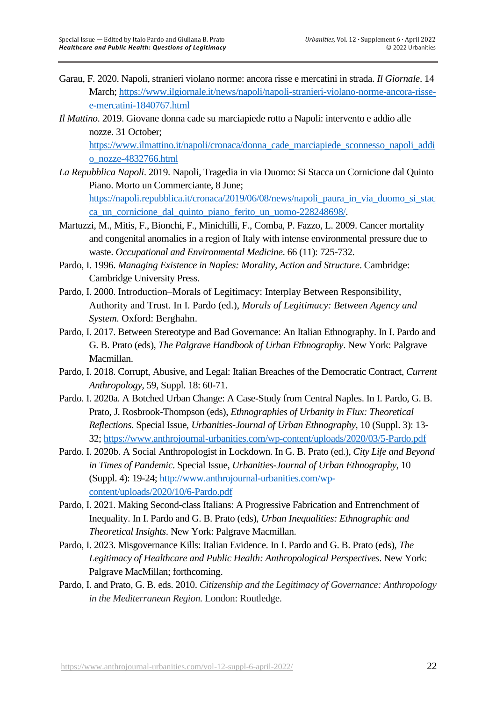- [Garau,](https://www.ilgiornale.it/autore/federico-garau-142698.html) F. 2020. Napoli, stranieri violano norme: ancora risse e mercatini in strada. *Il Giornale*. 14 March; [https://www.ilgiornale.it/news/napoli/napoli-stranieri-violano-norme-ancora-risse](https://www.ilgiornale.it/news/napoli/napoli-stranieri-violano-norme-ancora-risse-e-mercatini-1840767.html)[e-mercatini-1840767.html](https://www.ilgiornale.it/news/napoli/napoli-stranieri-violano-norme-ancora-risse-e-mercatini-1840767.html)
- *Il Mattino*. 2019. Giovane donna cade su marciapiede rotto a Napoli: intervento e addio alle nozze. 31 October;

[https://www.ilmattino.it/napoli/cronaca/donna\\_cade\\_marciapiede\\_sconnesso\\_napoli\\_addi](https://www.ilmattino.it/napoli/cronaca/donna_cade_marciapiede_sconnesso_napoli_addio_nozze-4832766.html) [o\\_nozze-4832766.html](https://www.ilmattino.it/napoli/cronaca/donna_cade_marciapiede_sconnesso_napoli_addio_nozze-4832766.html)

*La Repubblica Napoli*. 2019. Napoli, Tragedia in via Duomo: Si Stacca un Cornicione dal Quinto Piano. Morto un Commerciante, 8 June; https://napoli.repubblica.it/cronaca/2019/06/08/news/napoli paura in via duomo si stac

[ca\\_un\\_cornicione\\_dal\\_quinto\\_piano\\_ferito\\_un\\_uomo-228248698/.](https://napoli.repubblica.it/cronaca/2019/06/08/news/napoli_paura_in_via_duomo_si_stacca_un_cornicione_dal_quinto_piano_ferito_un_uomo-228248698/)

- Martuzzi, M., Mitis, F., Bionchi, F., Minichilli, F., Comba, P. Fazzo, L. 2009. Cancer mortality and congenital anomalies in a region of Italy with intense environmental pressure due to waste. *Occupational and Environmental Medicine*. 66 (11): 725-732.
- Pardo, I. 1996. *Managing Existence in Naples: Morality, Action and Structure*. Cambridge: Cambridge University Press.
- Pardo, I. 2000. Introduction–Morals of Legitimacy: Interplay Between Responsibility, Authority and Trust. In I. Pardo (ed.), *Morals of Legitimacy: Between Agency and System.* Oxford: Berghahn.
- Pardo, I. 2017. Between Stereotype and Bad Governance: An Italian Ethnography. In I. Pardo and G. B. Prato (eds), *The Palgrave Handbook of Urban Ethnography*. New York: Palgrave Macmillan.
- Pardo, I. 2018. Corrupt, Abusive, and Legal: Italian Breaches of the Democratic Contract, *Current Anthropology*, 59, Suppl. 18: 60-71.
- Pardo. I. 2020a. A Botched Urban Change: A Case-Study from Central Naples. In I. Pardo, G. B. Prato, J. Rosbrook-Thompson (eds), *Ethnographies of Urbanity in Flux: Theoretical Reflections*. Special Issue, *Urbanities-Journal of Urban Ethnography*, 10 (Suppl. 3): 13- 32;<https://www.anthrojournal-urbanities.com/wp-content/uploads/2020/03/5-Pardo.pdf>
- Pardo. I. 2020b. A Social Anthropologist in Lockdown. In G. B. Prato (ed.), *City Life and Beyond in Times of Pandemic*. Special Issue, *Urbanities-Journal of Urban Ethnography*, 10 (Suppl. 4): 19-24; [http://www.anthrojournal-urbanities.com/wp](http://www.anthrojournal-urbanities.com/wp-content/uploads/2020/10/6-Pardo.pdf)[content/uploads/2020/10/6-Pardo.pdf](http://www.anthrojournal-urbanities.com/wp-content/uploads/2020/10/6-Pardo.pdf)
- Pardo, I. 2021. Making Second-class Italians: A Progressive Fabrication and Entrenchment of Inequality. In I. Pardo and G. B. Prato (eds), *Urban Inequalities: Ethnographic and Theoretical Insights*. New York: Palgrave Macmillan.
- Pardo, I. 2023. Misgovernance Kills: Italian Evidence. In I. Pardo and G. B. Prato (eds), *The Legitimacy of Healthcare and Public Health: Anthropological Perspectives*. New York: Palgrave MacMillan; forthcoming.
- Pardo, I. and Prato, G. B. eds. 2010. *Citizenship and the Legitimacy of Governance: Anthropology in the Mediterranean Region.* London: Routledge.